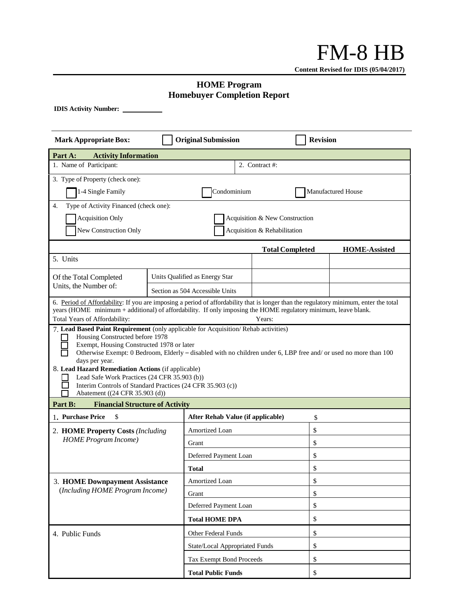# **HOME Program Homebuyer Completion Report**

**IDIS Activity Number:** 

| <b>Mark Appropriate Box:</b>                                                                                                                                                                                                                                                                                                                                                                                                                                                                                                                                                                                                                                                                                                                                                                                                                                              | <b>Original Submission</b> |                                   | <b>Revision</b> |    |  |  |  |  |  |  |
|---------------------------------------------------------------------------------------------------------------------------------------------------------------------------------------------------------------------------------------------------------------------------------------------------------------------------------------------------------------------------------------------------------------------------------------------------------------------------------------------------------------------------------------------------------------------------------------------------------------------------------------------------------------------------------------------------------------------------------------------------------------------------------------------------------------------------------------------------------------------------|----------------------------|-----------------------------------|-----------------|----|--|--|--|--|--|--|
| Part A:<br><b>Activity Information</b>                                                                                                                                                                                                                                                                                                                                                                                                                                                                                                                                                                                                                                                                                                                                                                                                                                    |                            |                                   |                 |    |  |  |  |  |  |  |
| 1. Name of Participant:                                                                                                                                                                                                                                                                                                                                                                                                                                                                                                                                                                                                                                                                                                                                                                                                                                                   |                            |                                   | 2. Contract #:  |    |  |  |  |  |  |  |
| 3. Type of Property (check one):                                                                                                                                                                                                                                                                                                                                                                                                                                                                                                                                                                                                                                                                                                                                                                                                                                          |                            |                                   |                 |    |  |  |  |  |  |  |
| Condominium<br>Manufactured House<br>1-4 Single Family                                                                                                                                                                                                                                                                                                                                                                                                                                                                                                                                                                                                                                                                                                                                                                                                                    |                            |                                   |                 |    |  |  |  |  |  |  |
| Type of Activity Financed (check one):<br>4.                                                                                                                                                                                                                                                                                                                                                                                                                                                                                                                                                                                                                                                                                                                                                                                                                              |                            |                                   |                 |    |  |  |  |  |  |  |
| <b>Acquisition Only</b><br>Acquisition & New Construction                                                                                                                                                                                                                                                                                                                                                                                                                                                                                                                                                                                                                                                                                                                                                                                                                 |                            |                                   |                 |    |  |  |  |  |  |  |
| New Construction Only<br>Acquisition & Rehabilitation                                                                                                                                                                                                                                                                                                                                                                                                                                                                                                                                                                                                                                                                                                                                                                                                                     |                            |                                   |                 |    |  |  |  |  |  |  |
| <b>Total Completed</b><br><b>HOME-Assisted</b>                                                                                                                                                                                                                                                                                                                                                                                                                                                                                                                                                                                                                                                                                                                                                                                                                            |                            |                                   |                 |    |  |  |  |  |  |  |
| 5. Units                                                                                                                                                                                                                                                                                                                                                                                                                                                                                                                                                                                                                                                                                                                                                                                                                                                                  |                            |                                   |                 |    |  |  |  |  |  |  |
| Of the Total Completed                                                                                                                                                                                                                                                                                                                                                                                                                                                                                                                                                                                                                                                                                                                                                                                                                                                    |                            | Units Qualified as Energy Star    |                 |    |  |  |  |  |  |  |
| Units, the Number of:                                                                                                                                                                                                                                                                                                                                                                                                                                                                                                                                                                                                                                                                                                                                                                                                                                                     |                            | Section as 504 Accessible Units   |                 |    |  |  |  |  |  |  |
| 6. Period of Affordability: If you are imposing a period of affordability that is longer than the regulatory minimum, enter the total<br>years (HOME minimum + additional) of affordability. If only imposing the HOME regulatory minimum, leave blank.<br>Total Years of Affordability:<br>Years:<br>7. Lead Based Paint Requirement (only applicable for Acquisition/Rehab activities)<br>Housing Constructed before 1978<br>Exempt, Housing Constructed 1978 or later<br>Otherwise Exempt: 0 Bedroom, Elderly - disabled with no children under 6, LBP free and/ or used no more than 100<br>days per year.<br>8. Lead Hazard Remediation Actions (if applicable)<br>Lead Safe Work Practices (24 CFR 35.903 (b))<br>Interim Controls of Standard Practices (24 CFR 35.903 (c))<br>Abatement ((24 CFR 35.903 (d))<br><b>Financial Structure of Activity</b><br>Part B: |                            |                                   |                 |    |  |  |  |  |  |  |
| 1. Purchase Price<br>\$                                                                                                                                                                                                                                                                                                                                                                                                                                                                                                                                                                                                                                                                                                                                                                                                                                                   |                            | After Rehab Value (if applicable) |                 | \$ |  |  |  |  |  |  |
| 2. HOME Property Costs (Including<br><b>HOME</b> Program Income)                                                                                                                                                                                                                                                                                                                                                                                                                                                                                                                                                                                                                                                                                                                                                                                                          |                            | <b>Amortized Loan</b>             |                 | \$ |  |  |  |  |  |  |
|                                                                                                                                                                                                                                                                                                                                                                                                                                                                                                                                                                                                                                                                                                                                                                                                                                                                           |                            | Grant                             |                 | \$ |  |  |  |  |  |  |
|                                                                                                                                                                                                                                                                                                                                                                                                                                                                                                                                                                                                                                                                                                                                                                                                                                                                           |                            | Deferred Payment Loan             |                 | \$ |  |  |  |  |  |  |
|                                                                                                                                                                                                                                                                                                                                                                                                                                                                                                                                                                                                                                                                                                                                                                                                                                                                           |                            | <b>Total</b>                      |                 | \$ |  |  |  |  |  |  |
| 3. HOME Downpayment Assistance                                                                                                                                                                                                                                                                                                                                                                                                                                                                                                                                                                                                                                                                                                                                                                                                                                            |                            | Amortized Loan                    |                 | \$ |  |  |  |  |  |  |
| (Including HOME Program Income)                                                                                                                                                                                                                                                                                                                                                                                                                                                                                                                                                                                                                                                                                                                                                                                                                                           |                            | Grant                             |                 | \$ |  |  |  |  |  |  |
|                                                                                                                                                                                                                                                                                                                                                                                                                                                                                                                                                                                                                                                                                                                                                                                                                                                                           |                            | Deferred Payment Loan             |                 | \$ |  |  |  |  |  |  |
|                                                                                                                                                                                                                                                                                                                                                                                                                                                                                                                                                                                                                                                                                                                                                                                                                                                                           |                            | <b>Total HOME DPA</b>             |                 | \$ |  |  |  |  |  |  |
| 4. Public Funds                                                                                                                                                                                                                                                                                                                                                                                                                                                                                                                                                                                                                                                                                                                                                                                                                                                           |                            | Other Federal Funds               |                 | \$ |  |  |  |  |  |  |
|                                                                                                                                                                                                                                                                                                                                                                                                                                                                                                                                                                                                                                                                                                                                                                                                                                                                           |                            | State/Local Appropriated Funds    |                 | \$ |  |  |  |  |  |  |
|                                                                                                                                                                                                                                                                                                                                                                                                                                                                                                                                                                                                                                                                                                                                                                                                                                                                           |                            | <b>Tax Exempt Bond Proceeds</b>   |                 | \$ |  |  |  |  |  |  |
|                                                                                                                                                                                                                                                                                                                                                                                                                                                                                                                                                                                                                                                                                                                                                                                                                                                                           |                            | <b>Total Public Funds</b>         |                 | \$ |  |  |  |  |  |  |